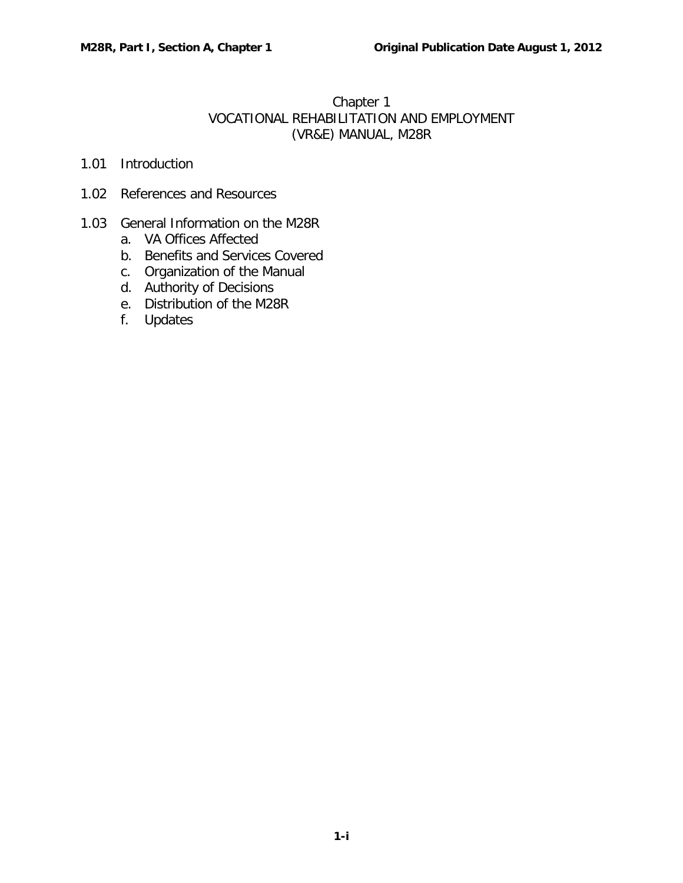## Chapter 1 VOCATIONAL REHABILITATION AND EMPLOYMENT (VR&E) MANUAL, M28R

- 1.01 [Introduction](#page-1-0)
- 1.02 [References and Resources](#page-1-1)

### 1.03 [General Information on the M28R](#page-1-2)

- a. [VA Offices Affected](#page-1-3)
- b. [Benefits and Services Covered](#page-1-4)
- c. [Organization of the Manual](#page-2-0)
- d. [Authority of Decisions](#page-3-0)
- e. [Distribution of the M28R](#page-4-0)
- f. [Updates](#page-4-1)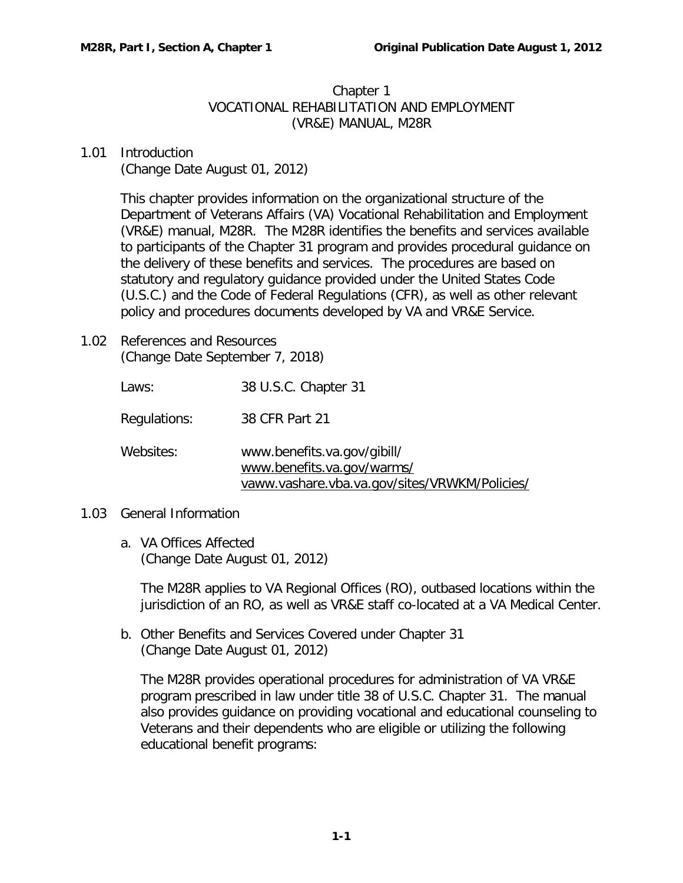## Chapter 1 VOCATIONAL REHABILITATION AND EMPLOYMENT (VR&E) MANUAL, M28R

# <span id="page-1-0"></span>1.01 Introduction

(Change Date August 01, 2012)

This chapter provides information on the organizational structure of the Department of Veterans Affairs (VA) Vocational Rehabilitation and Employment (VR&E) manual, M28R. The M28R identifies the benefits and services available to participants of the Chapter 31 program and provides procedural guidance on the delivery of these benefits and services. The procedures are based on statutory and regulatory guidance provided under the United States Code (U.S.C.) and the Code of Federal Regulations (CFR), as well as other relevant policy and procedures documents developed by VA and VR&E Service.

<span id="page-1-1"></span>1.02 References and Resources (Change Date September 7, 2018)

> Laws: 38 U.S.C. Chapter 31 Regulations: 38 CFR Part 21 Websites: [www.benefits.va.gov/gibill/](http://www.benefits.va.gov/gibill/) [www.benefits.va.gov/warms/](http://www.benefits.va.gov/warms/topic-vocational-rehabilitation.asp) [vaww.vashare.vba.va.gov/sites/VRWKM/Policies/](https://vaww.vashare.vba.va.gov/sites/VRWKM/Policies%20%20Guidance/Forms/Policies%20_%20Guidance.aspx)

### <span id="page-1-3"></span><span id="page-1-2"></span>1.03 General Information

a. VA Offices Affected (Change Date August 01, 2012)

The M28R applies to VA Regional Offices (RO), outbased locations within the jurisdiction of an RO, as well as VR&E staff co-located at a VA Medical Center.

<span id="page-1-4"></span>b. Other Benefits and Services Covered under Chapter 31 (Change Date August 01, 2012)

The M28R provides operational procedures for administration of VA VR&E program prescribed in law under title 38 of U.S.C. Chapter 31. The manual also provides guidance on providing vocational and educational counseling to Veterans and their dependents who are eligible or utilizing the following educational benefit programs: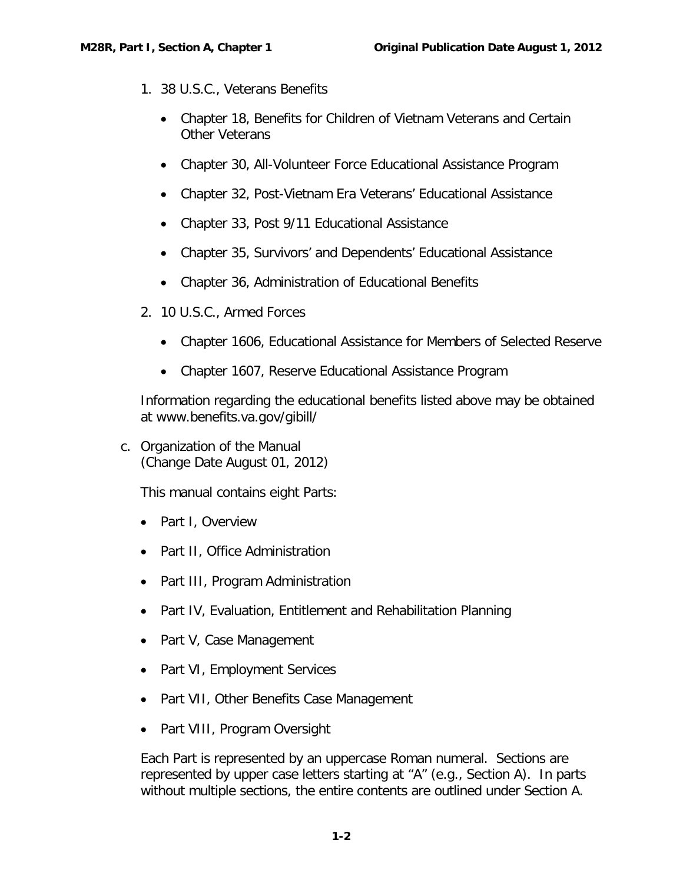- 1. 38 U.S.C., Veterans Benefits
	- Chapter 18, Benefits for Children of Vietnam Veterans and Certain Other Veterans
	- Chapter 30, All-Volunteer Force Educational Assistance Program
	- Chapter 32, Post-Vietnam Era Veterans' Educational Assistance
	- Chapter 33, Post 9/11 Educational Assistance
	- Chapter 35, Survivors' and Dependents' Educational Assistance
	- Chapter 36, Administration of Educational Benefits
- 2. 10 U.S.C., Armed Forces
	- Chapter 1606, Educational Assistance for Members of Selected Reserve
	- Chapter 1607, Reserve Educational Assistance Program

Information regarding the educational benefits listed above may be obtained at [www.benefits.va.gov/gibill/](http://www.benefits.va.gov/gibill/)

<span id="page-2-0"></span>c. Organization of the Manual (Change Date August 01, 2012)

This manual contains eight Parts:

- Part I, Overview
- Part II, Office Administration
- Part III, Program Administration
- Part IV, Evaluation, Entitlement and Rehabilitation Planning
- Part V, Case Management
- Part VI, Employment Services
- Part VII, Other Benefits Case Management
- Part VIII, Program Oversight

Each Part is represented by an uppercase Roman numeral. Sections are represented by upper case letters starting at "A" (e.g., Section A). In parts without multiple sections, the entire contents are outlined under Section A.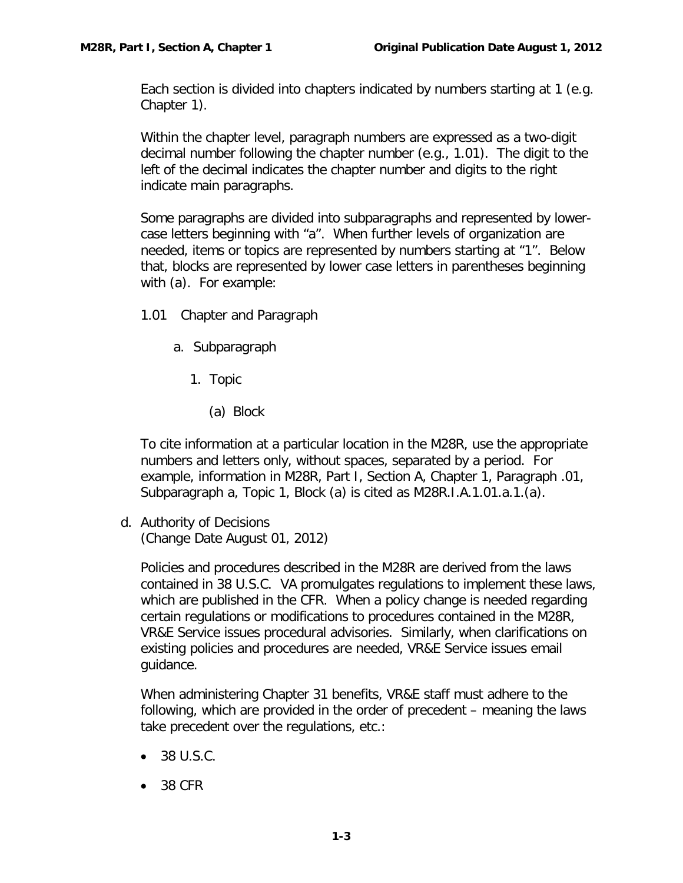Each section is divided into chapters indicated by numbers starting at 1 (e.g. Chapter 1).

Within the chapter level, paragraph numbers are expressed as a two-digit decimal number following the chapter number (e.g., 1.01). The digit to the left of the decimal indicates the chapter number and digits to the right indicate main paragraphs.

Some paragraphs are divided into subparagraphs and represented by lowercase letters beginning with "a". When further levels of organization are needed, items or topics are represented by numbers starting at "1". Below that, blocks are represented by lower case letters in parentheses beginning with (a). For example:

- 1.01 Chapter and Paragraph
	- a. Subparagraph
		- 1. Topic
			- (a) Block

To cite information at a particular location in the M28R, use the appropriate numbers and letters only, without spaces, separated by a period. For example, information in M28R, Part I, Section A, Chapter 1, Paragraph .01, Subparagraph a, Topic 1, Block (a) is cited as M28R.I.A.1.01.a.1.(a).

<span id="page-3-0"></span>d. Authority of Decisions (Change Date August 01, 2012)

Policies and procedures described in the M28R are derived from the laws contained in 38 U.S.C. VA promulgates regulations to implement these laws, which are published in the CFR. When a policy change is needed regarding certain regulations or modifications to procedures contained in the M28R, VR&E Service issues procedural advisories. Similarly, when clarifications on existing policies and procedures are needed, VR&E Service issues email guidance.

When administering Chapter 31 benefits, VR&E staff must adhere to the following, which are provided in the order of precedent – meaning the laws take precedent over the regulations, etc.:

- 38 U.S.C.
- 38 CFR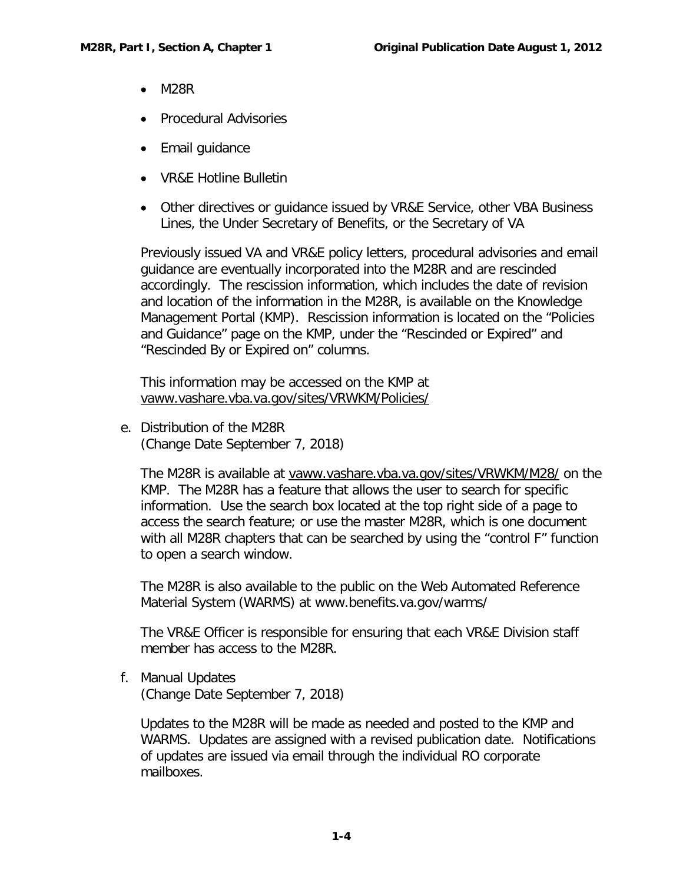- M28R
- Procedural Advisories
- Email guidance
- VR&E Hotline Bulletin
- Other directives or guidance issued by VR&E Service, other VBA Business Lines, the Under Secretary of Benefits, or the Secretary of VA

Previously issued VA and VR&E policy letters, procedural advisories and email guidance are eventually incorporated into the M28R and are rescinded accordingly. The rescission information, which includes the date of revision and location of the information in the M28R, is available on the Knowledge Management Portal (KMP). Rescission information is located on the "Policies and Guidance" page on the KMP, under the "Rescinded or Expired" and "Rescinded By or Expired on" columns.

This information may be accessed on the KMP at [vaww.vashare.vba.va.gov/sites/VRWKM/Policies/](https://vaww.vashare.vba.va.gov/sites/VRWKM/Policies%20%20Guidance/Forms/Policies%20_%20Guidance.aspx)

<span id="page-4-0"></span>e. Distribution of the M28R (Change Date September 7, 2018)

The M28R is available at [vaww.vashare.vba.va.gov/sites/VRWKM/M28/](https://vaww.vashare.vba.va.gov/sites/VRWKM/M28/Forms/M28%20Main.aspx) on the KMP. The M28R has a feature that allows the user to search for specific information. Use the search box located at the top right side of a page to access the search feature; or use the master M28R, which is one document with all M28R chapters that can be searched by using the "control F" function to open a search window.

The M28R is also available to the public on the Web Automated Reference Material System (WARMS) at [www.benefits.va.gov/warms/](http://www.benefits.va.gov/warms/topic-vocational-rehabilitation.asp)

The VR&E Officer is responsible for ensuring that each VR&E Division staff member has access to the M28R.

<span id="page-4-1"></span>f. Manual Updates (Change Date September 7, 2018)

Updates to the M28R will be made as needed and posted to the KMP and WARMS. Updates are assigned with a revised publication date. Notifications of updates are issued via email through the individual RO corporate mailboxes.